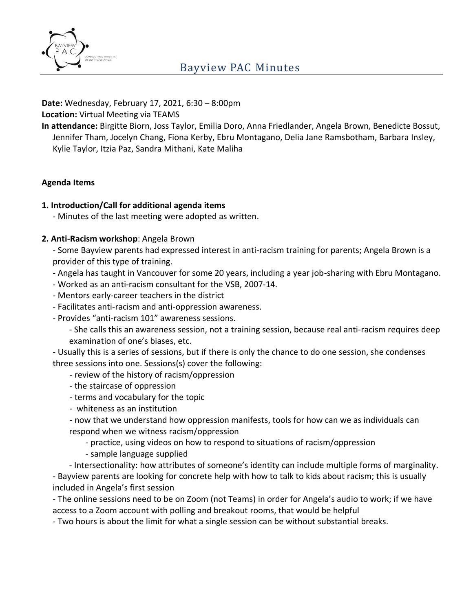

**Date:** Wednesday, February 17, 2021, 6:30 – 8:00pm **Location:** Virtual Meeting via TEAMS

**In attendance:** Birgitte Biorn, Joss Taylor, Emilia Doro, Anna Friedlander, Angela Brown, Benedicte Bossut, Jennifer Tham, Jocelyn Chang, Fiona Kerby, Ebru Montagano, Delia Jane Ramsbotham, Barbara Insley, Kylie Taylor, Itzia Paz, Sandra Mithani, Kate Maliha

# **Agenda Items**

# **1. Introduction/Call for additional agenda items**

- Minutes of the last meeting were adopted as written.

## **2. Anti-Racism workshop**: Angela Brown

- Some Bayview parents had expressed interest in anti-racism training for parents; Angela Brown is a provider of this type of training.

- Angela has taught in Vancouver for some 20 years, including a year job-sharing with Ebru Montagano.
- Worked as an anti-racism consultant for the VSB, 2007-14.
- Mentors early-career teachers in the district
- Facilitates anti-racism and anti-oppression awareness.
- Provides "anti-racism 101" awareness sessions.
	- She calls this an awareness session, not a training session, because real anti-racism requires deep examination of one's biases, etc.

- Usually this is a series of sessions, but if there is only the chance to do one session, she condenses three sessions into one. Sessions(s) cover the following:

- review of the history of racism/oppression
- the staircase of oppression
- terms and vocabulary for the topic
- whiteness as an institution
- now that we understand how oppression manifests, tools for how can we as individuals can respond when we witness racism/oppression
	- practice, using videos on how to respond to situations of racism/oppression
	- sample language supplied

- Intersectionality: how attributes of someone's identity can include multiple forms of marginality. - Bayview parents are looking for concrete help with how to talk to kids about racism; this is usually included in Angela's first session

- The online sessions need to be on Zoom (not Teams) in order for Angela's audio to work; if we have access to a Zoom account with polling and breakout rooms, that would be helpful

- Two hours is about the limit for what a single session can be without substantial breaks.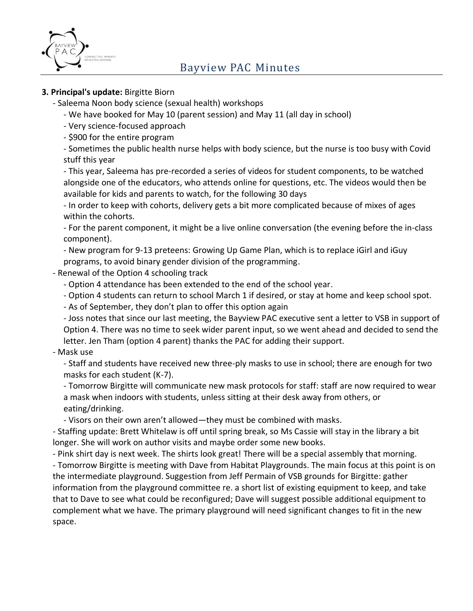

# **3. Principal's update:** Birgitte Biorn

- Saleema Noon body science (sexual health) workshops

- We have booked for May 10 (parent session) and May 11 (all day in school)
- Very science-focused approach
- \$900 for the entire program

- Sometimes the public health nurse helps with body science, but the nurse is too busy with Covid stuff this year

- This year, Saleema has pre-recorded a series of videos for student components, to be watched alongside one of the educators, who attends online for questions, etc. The videos would then be available for kids and parents to watch, for the following 30 days

- In order to keep with cohorts, delivery gets a bit more complicated because of mixes of ages within the cohorts.

- For the parent component, it might be a live online conversation (the evening before the in-class component).

- New program for 9-13 preteens: Growing Up Game Plan, which is to replace iGirl and iGuy programs, to avoid binary gender division of the programming.

## - Renewal of the Option 4 schooling track

- Option 4 attendance has been extended to the end of the school year.
- Option 4 students can return to school March 1 if desired, or stay at home and keep school spot.
- As of September, they don't plan to offer this option again

- Joss notes that since our last meeting, the Bayview PAC executive sent a letter to VSB in support of Option 4. There was no time to seek wider parent input, so we went ahead and decided to send the letter. Jen Tham (option 4 parent) thanks the PAC for adding their support.

## - Mask use

- Staff and students have received new three-ply masks to use in school; there are enough for two masks for each student (K-7).

- Tomorrow Birgitte will communicate new mask protocols for staff: staff are now required to wear a mask when indoors with students, unless sitting at their desk away from others, or eating/drinking.

- Visors on their own aren't allowed—they must be combined with masks.

- Staffing update: Brett Whitelaw is off until spring break, so Ms Cassie will stay in the library a bit longer. She will work on author visits and maybe order some new books.

- Pink shirt day is next week. The shirts look great! There will be a special assembly that morning. - Tomorrow Birgitte is meeting with Dave from Habitat Playgrounds. The main focus at this point is on the intermediate playground. Suggestion from Jeff Permain of VSB grounds for Birgitte: gather information from the playground committee re. a short list of existing equipment to keep, and take that to Dave to see what could be reconfigured; Dave will suggest possible additional equipment to complement what we have. The primary playground will need significant changes to fit in the new space.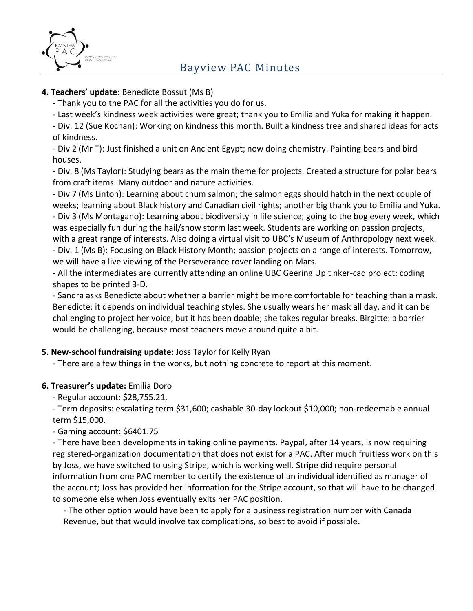

# **4. Teachers' update**: Benedicte Bossut (Ms B)

- Thank you to the PAC for all the activities you do for us.

- Last week's kindness week activities were great; thank you to Emilia and Yuka for making it happen.

- Div. 12 (Sue Kochan): Working on kindness this month. Built a kindness tree and shared ideas for acts of kindness.

- Div 2 (Mr T): Just finished a unit on Ancient Egypt; now doing chemistry. Painting bears and bird houses.

- Div. 8 (Ms Taylor): Studying bears as the main theme for projects. Created a structure for polar bears from craft items. Many outdoor and nature activities.

- Div 7 (Ms Linton): Learning about chum salmon; the salmon eggs should hatch in the next couple of weeks; learning about Black history and Canadian civil rights; another big thank you to Emilia and Yuka. - Div 3 (Ms Montagano): Learning about biodiversity in life science; going to the bog every week, which was especially fun during the hail/snow storm last week. Students are working on passion projects, with a great range of interests. Also doing a virtual visit to UBC's Museum of Anthropology next week. - Div. 1 (Ms B): Focusing on Black History Month; passion projects on a range of interests. Tomorrow, we will have a live viewing of the Perseverance rover landing on Mars.

- All the intermediates are currently attending an online UBC Geering Up tinker-cad project: coding shapes to be printed 3-D.

- Sandra asks Benedicte about whether a barrier might be more comfortable for teaching than a mask. Benedicte: it depends on individual teaching styles. She usually wears her mask all day, and it can be challenging to project her voice, but it has been doable; she takes regular breaks. Birgitte: a barrier would be challenging, because most teachers move around quite a bit.

# **5. New-school fundraising update:** Joss Taylor for Kelly Ryan

- There are a few things in the works, but nothing concrete to report at this moment.

## **6. Treasurer's update:** Emilia Doro

- Regular account: \$28,755.21,

- Term deposits: escalating term \$31,600; cashable 30-day lockout \$10,000; non-redeemable annual term \$15,000.

- Gaming account: \$6401.75

- There have been developments in taking online payments. Paypal, after 14 years, is now requiring registered-organization documentation that does not exist for a PAC. After much fruitless work on this by Joss, we have switched to using Stripe, which is working well. Stripe did require personal information from one PAC member to certify the existence of an individual identified as manager of the account; Joss has provided her information for the Stripe account, so that will have to be changed to someone else when Joss eventually exits her PAC position.

- The other option would have been to apply for a business registration number with Canada Revenue, but that would involve tax complications, so best to avoid if possible.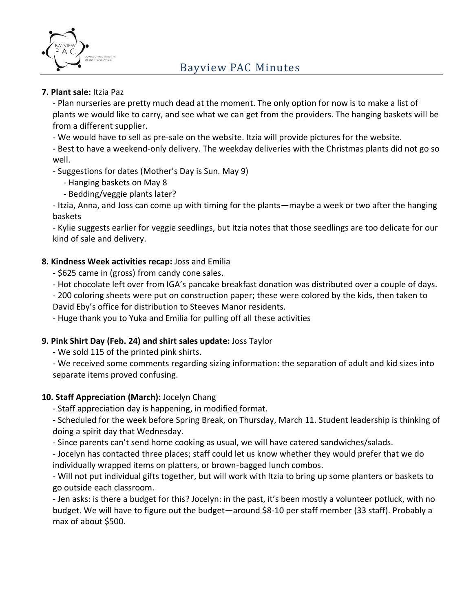

## **7. Plant sale:** Itzia Paz

- Plan nurseries are pretty much dead at the moment. The only option for now is to make a list of plants we would like to carry, and see what we can get from the providers. The hanging baskets will be from a different supplier.

- We would have to sell as pre-sale on the website. Itzia will provide pictures for the website.

- Best to have a weekend-only delivery. The weekday deliveries with the Christmas plants did not go so well.

- Suggestions for dates (Mother's Day is Sun. May 9)

- Hanging baskets on May 8

- Bedding/veggie plants later?

- Itzia, Anna, and Joss can come up with timing for the plants—maybe a week or two after the hanging baskets

- Kylie suggests earlier for veggie seedlings, but Itzia notes that those seedlings are too delicate for our kind of sale and delivery.

# **8. Kindness Week activities recap:** Joss and Emilia

- \$625 came in (gross) from candy cone sales.

- Hot chocolate left over from IGA's pancake breakfast donation was distributed over a couple of days.

- 200 coloring sheets were put on construction paper; these were colored by the kids, then taken to David Eby's office for distribution to Steeves Manor residents.

- Huge thank you to Yuka and Emilia for pulling off all these activities

## **9. Pink Shirt Day (Feb. 24) and shirt sales update:** Joss Taylor

- We sold 115 of the printed pink shirts.

- We received some comments regarding sizing information: the separation of adult and kid sizes into separate items proved confusing.

## **10. Staff Appreciation (March):** Jocelyn Chang

- Staff appreciation day is happening, in modified format.

- Scheduled for the week before Spring Break, on Thursday, March 11. Student leadership is thinking of doing a spirit day that Wednesday.

- Since parents can't send home cooking as usual, we will have catered sandwiches/salads.

- Jocelyn has contacted three places; staff could let us know whether they would prefer that we do individually wrapped items on platters, or brown-bagged lunch combos.

- Will not put individual gifts together, but will work with Itzia to bring up some planters or baskets to go outside each classroom.

- Jen asks: is there a budget for this? Jocelyn: in the past, it's been mostly a volunteer potluck, with no budget. We will have to figure out the budget—around \$8-10 per staff member (33 staff). Probably a max of about \$500.